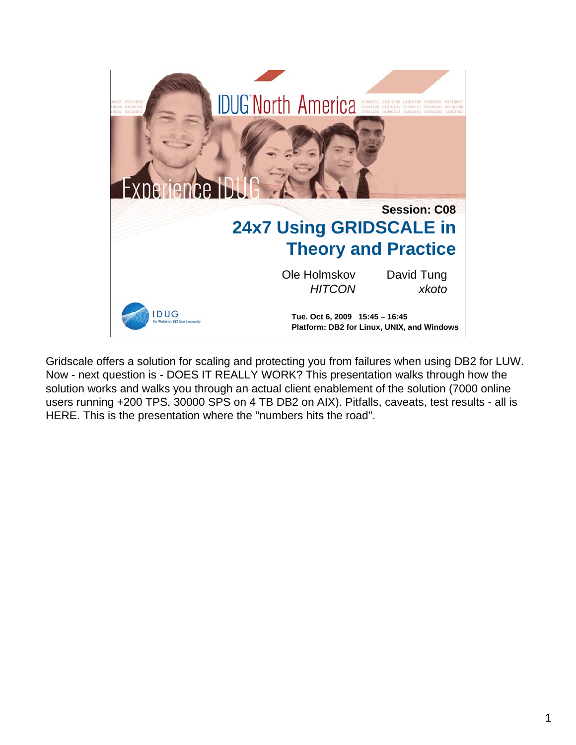

Gridscale offers a solution for scaling and protecting you from failures when using DB2 for LUW. Now - next question is - DOES IT REALLY WORK? This presentation walks through how the solution works and walks you through an actual client enablement of the solution (7000 online users running +200 TPS, 30000 SPS on 4 TB DB2 on AIX). Pitfalls, caveats, test results - all is HERE. This is the presentation where the "numbers hits the road".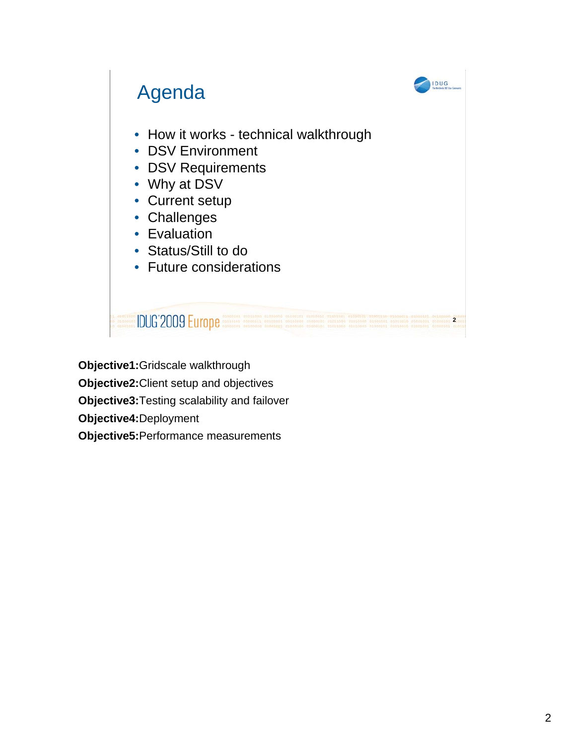

**Objective1:**Gridscale walkthrough **Objective2:**Client setup and objectives **Objective3:**Testing scalability and failover **Objective4:**Deployment **Objective5:**Performance measurements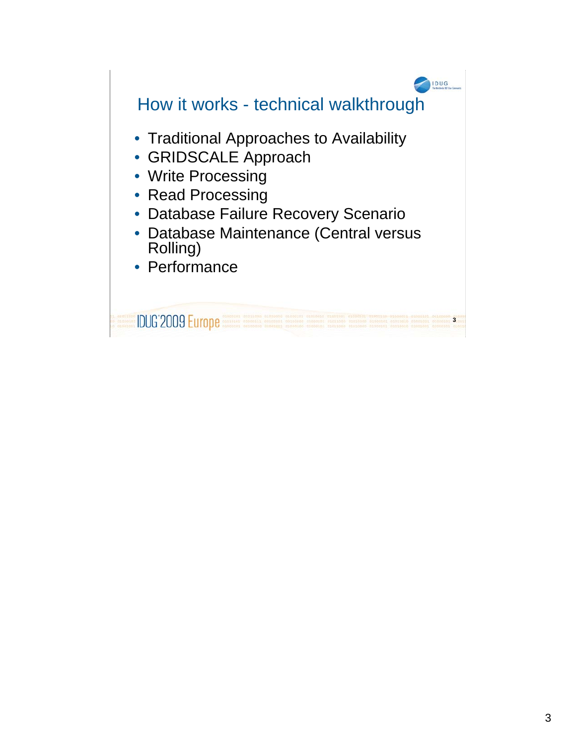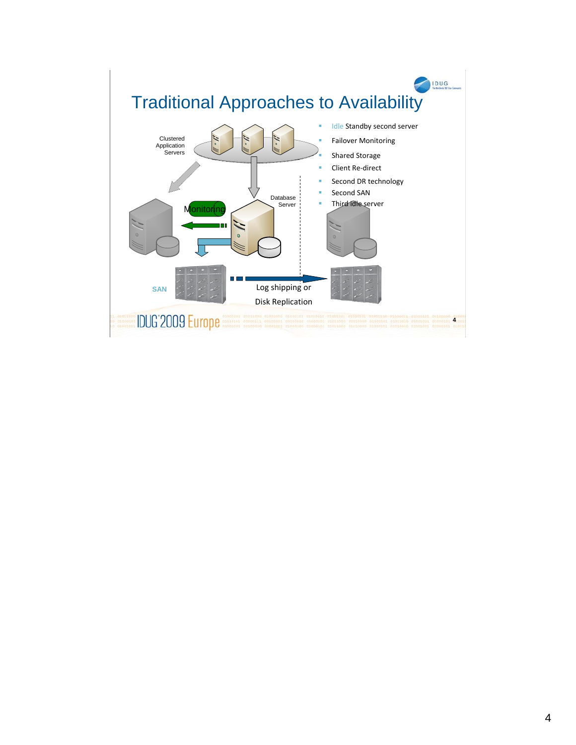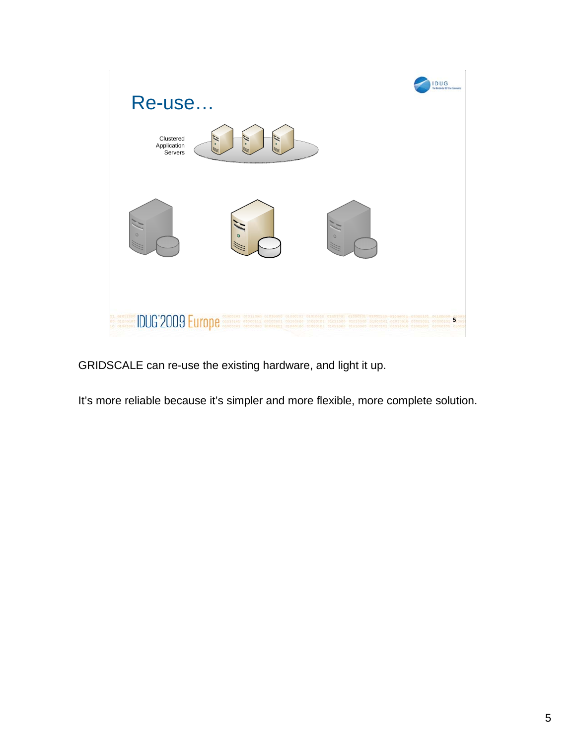

GRIDSCALE can re-use the existing hardware, and light it up.

It's more reliable because it's simpler and more flexible, more complete solution.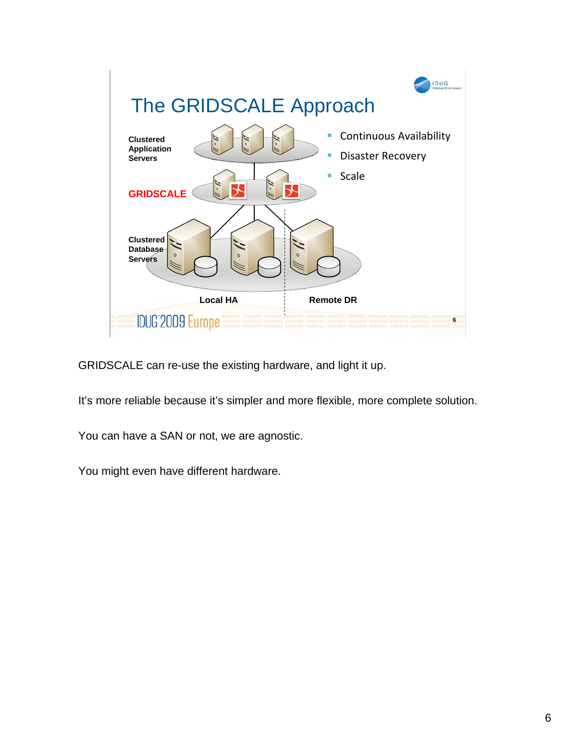

GRIDSCALE can re-use the existing hardware, and light it up.

It's more reliable because it's simpler and more flexible, more complete solution.

You can have a SAN or not, we are agnostic.

You might even have different hardware.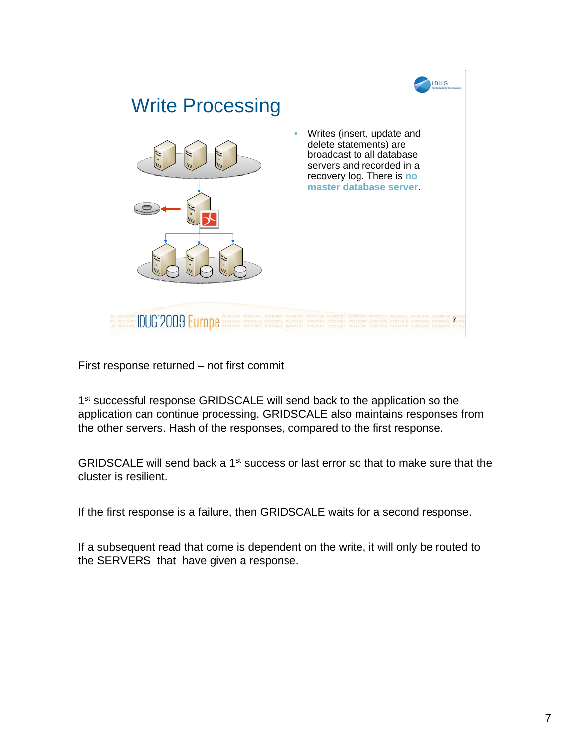

1<sup>st</sup> successful response GRIDSCALE will send back to the application so the application can continue processing. GRIDSCALE also maintains responses from the other servers. Hash of the responses, compared to the first response.

GRIDSCALE will send back a 1<sup>st</sup> success or last error so that to make sure that the cluster is resilient.

If the first response is a failure, then GRIDSCALE waits for a second response.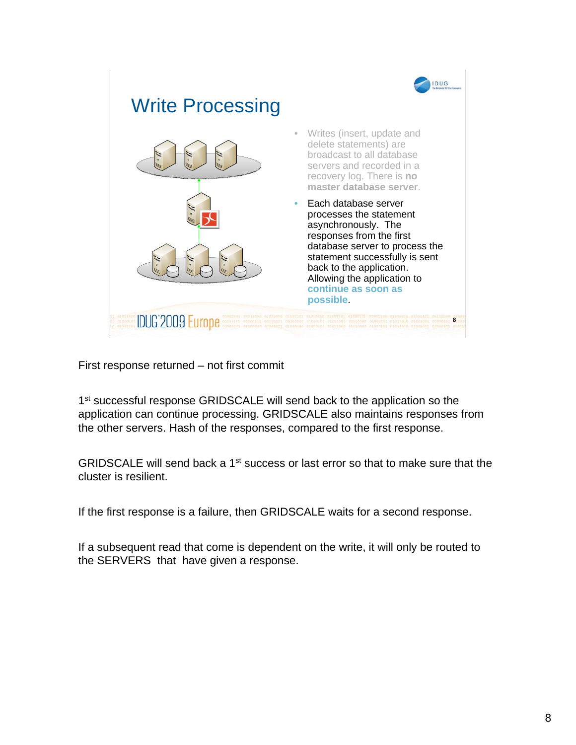

1<sup>st</sup> successful response GRIDSCALE will send back to the application so the application can continue processing. GRIDSCALE also maintains responses from the other servers. Hash of the responses, compared to the first response.

GRIDSCALE will send back a 1<sup>st</sup> success or last error so that to make sure that the cluster is resilient.

If the first response is a failure, then GRIDSCALE waits for a second response.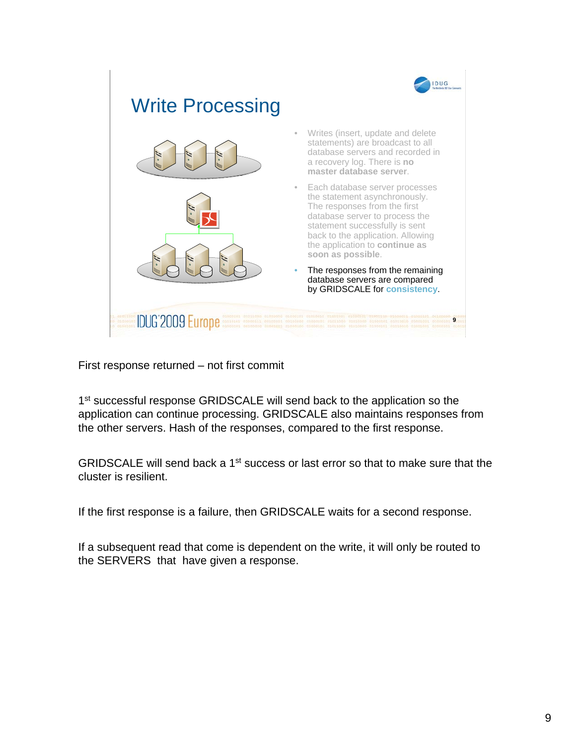

1<sup>st</sup> successful response GRIDSCALE will send back to the application so the application can continue processing. GRIDSCALE also maintains responses from the other servers. Hash of the responses, compared to the first response.

GRIDSCALE will send back a 1<sup>st</sup> success or last error so that to make sure that the cluster is resilient.

If the first response is a failure, then GRIDSCALE waits for a second response.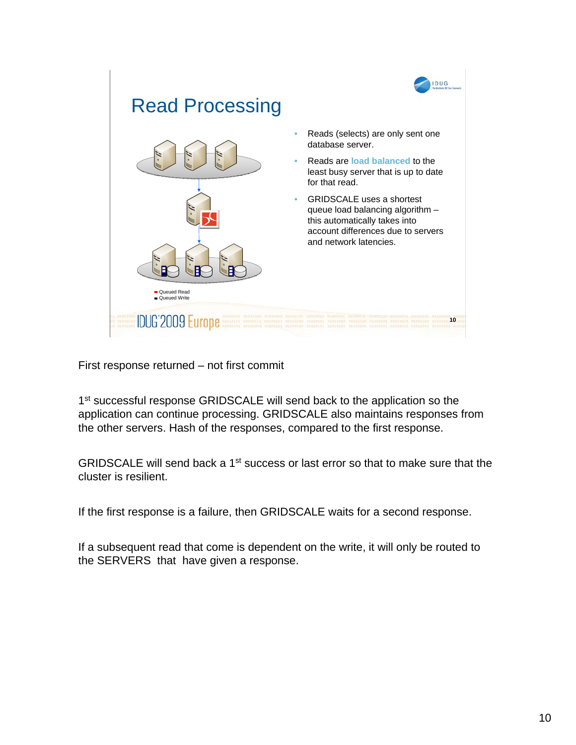

1<sup>st</sup> successful response GRIDSCALE will send back to the application so the application can continue processing. GRIDSCALE also maintains responses from the other servers. Hash of the responses, compared to the first response.

GRIDSCALE will send back a 1<sup>st</sup> success or last error so that to make sure that the cluster is resilient.

If the first response is a failure, then GRIDSCALE waits for a second response.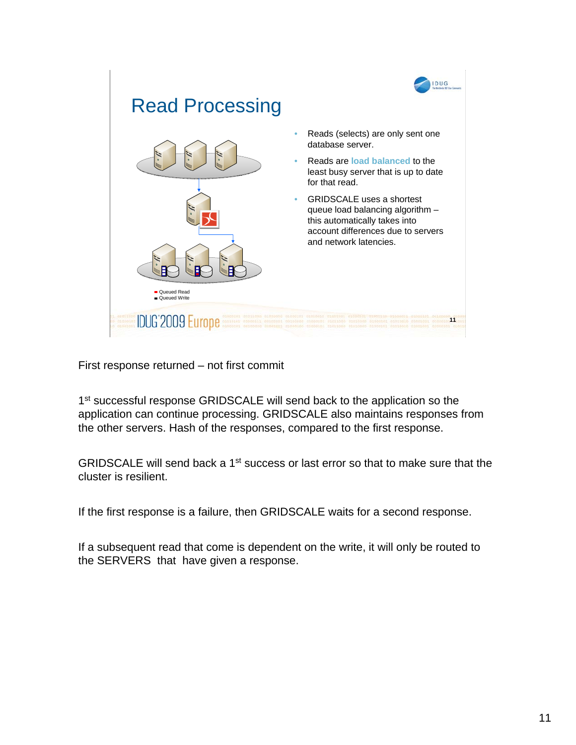

1<sup>st</sup> successful response GRIDSCALE will send back to the application so the application can continue processing. GRIDSCALE also maintains responses from the other servers. Hash of the responses, compared to the first response.

GRIDSCALE will send back a 1<sup>st</sup> success or last error so that to make sure that the cluster is resilient.

If the first response is a failure, then GRIDSCALE waits for a second response.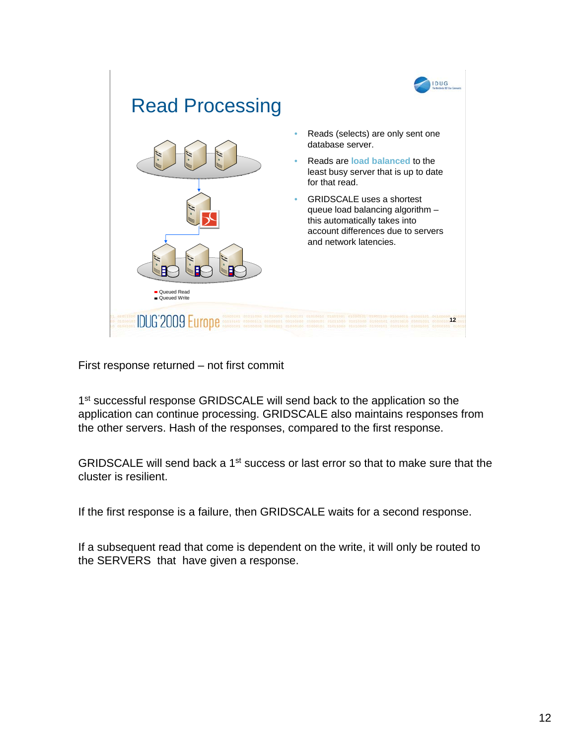

1<sup>st</sup> successful response GRIDSCALE will send back to the application so the application can continue processing. GRIDSCALE also maintains responses from the other servers. Hash of the responses, compared to the first response.

GRIDSCALE will send back a 1<sup>st</sup> success or last error so that to make sure that the cluster is resilient.

If the first response is a failure, then GRIDSCALE waits for a second response.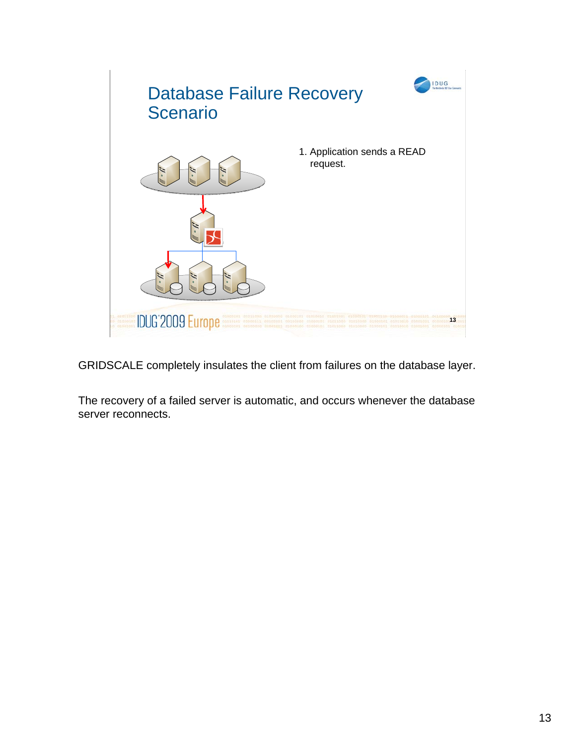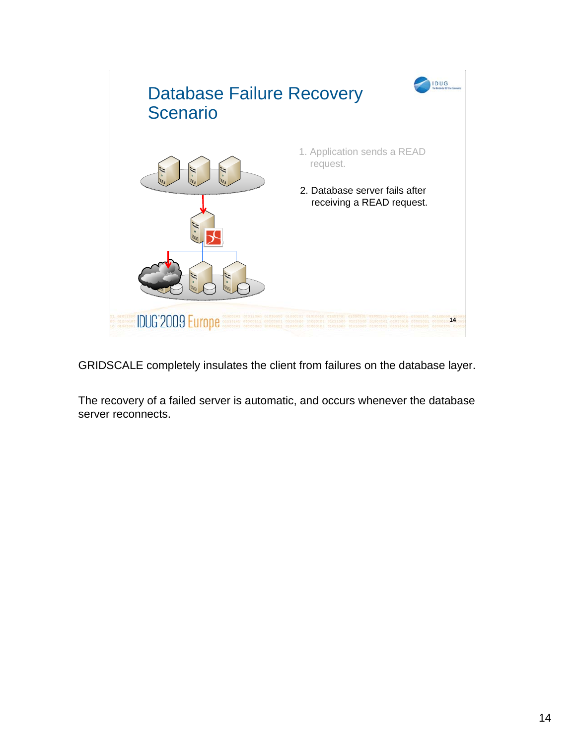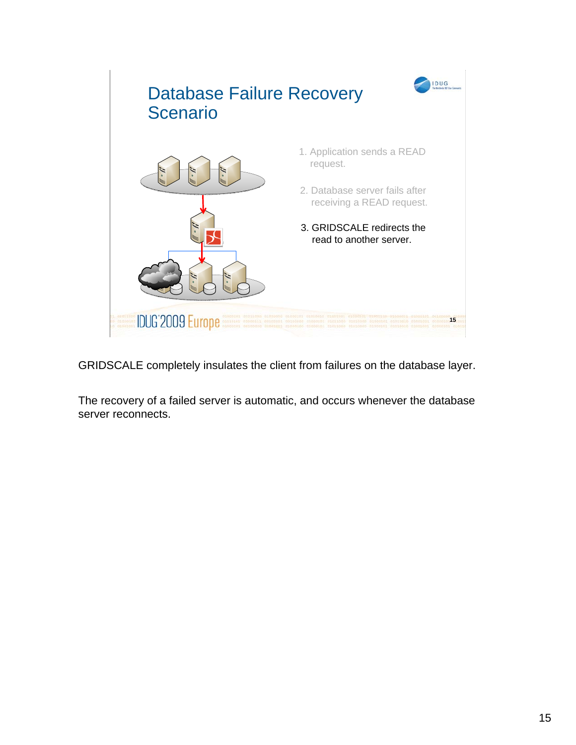![](_page_14_Picture_0.jpeg)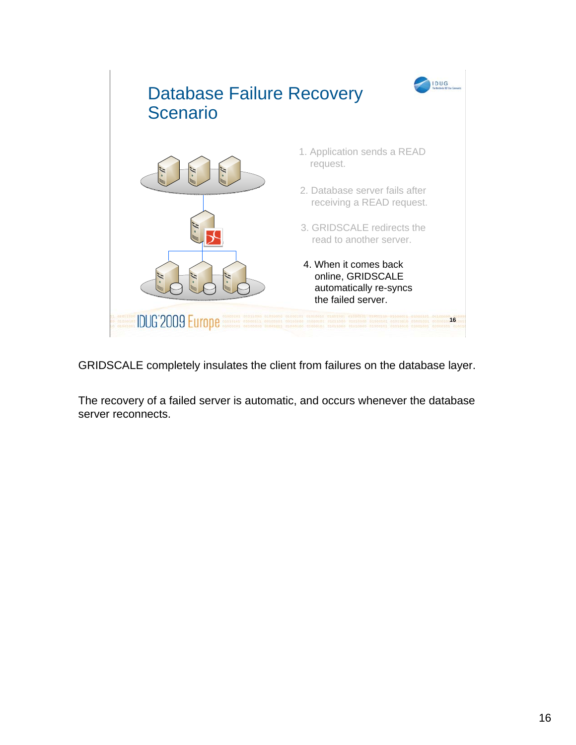![](_page_15_Picture_0.jpeg)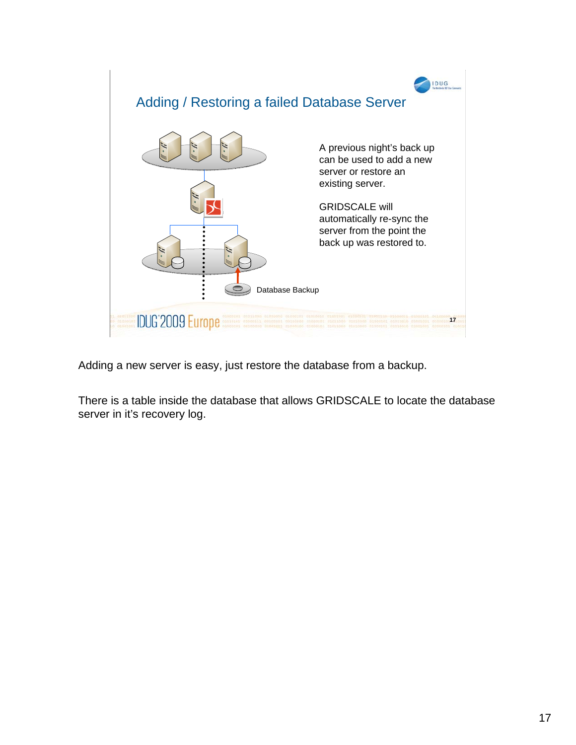![](_page_16_Figure_0.jpeg)

Adding a new server is easy, just restore the database from a backup.

There is a table inside the database that allows GRIDSCALE to locate the database server in it's recovery log.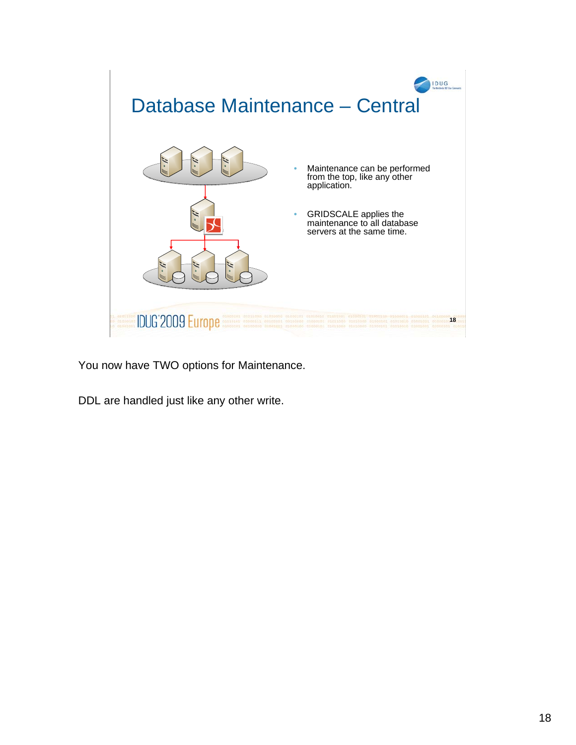![](_page_17_Picture_0.jpeg)

You now have TWO options for Maintenance.

DDL are handled just like any other write.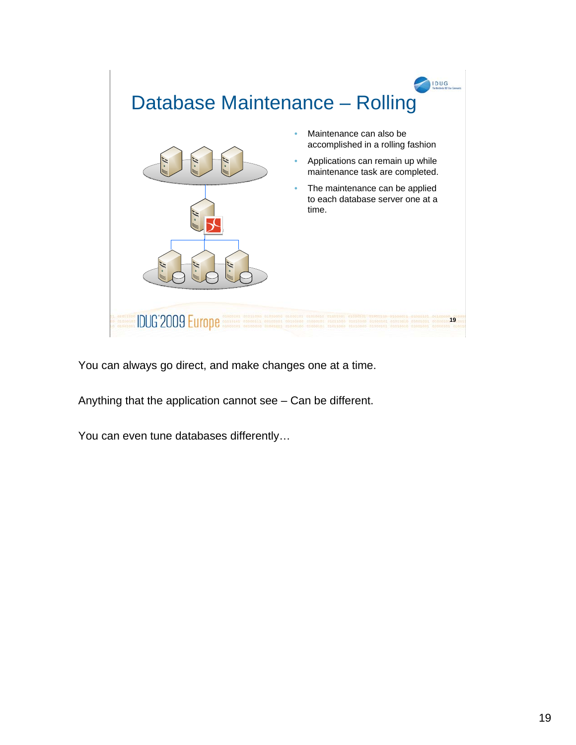![](_page_18_Picture_0.jpeg)

Anything that the application cannot see – Can be different.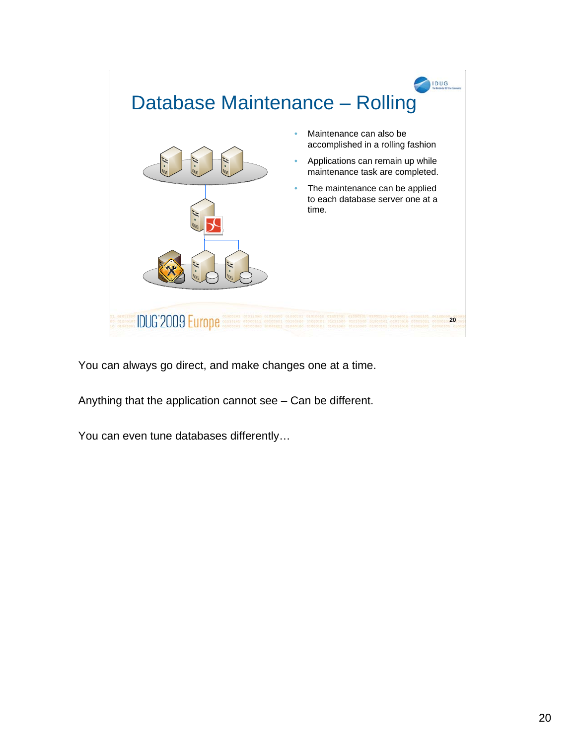![](_page_19_Picture_0.jpeg)

Anything that the application cannot see – Can be different.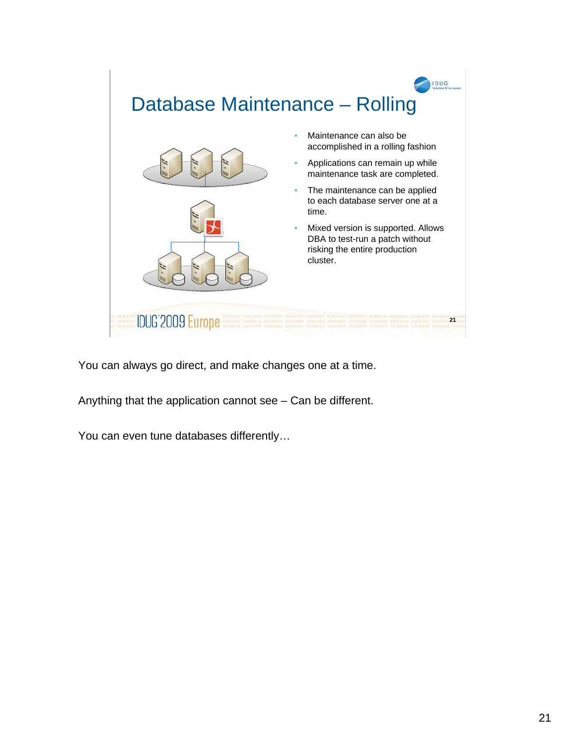![](_page_20_Picture_0.jpeg)

Anything that the application cannot see – Can be different.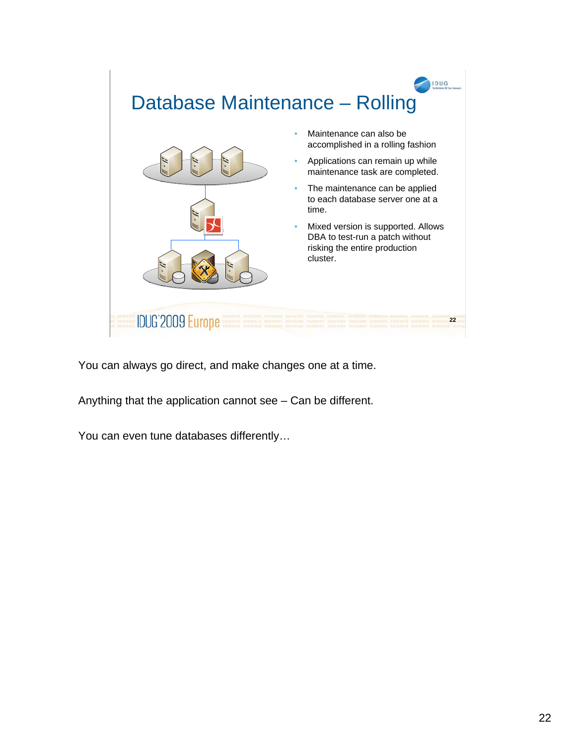![](_page_21_Picture_0.jpeg)

Anything that the application cannot see – Can be different.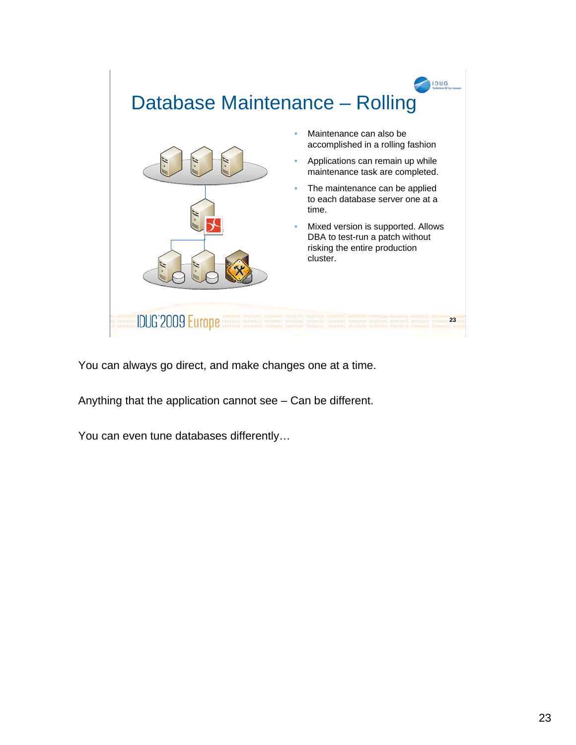![](_page_22_Picture_0.jpeg)

Anything that the application cannot see – Can be different.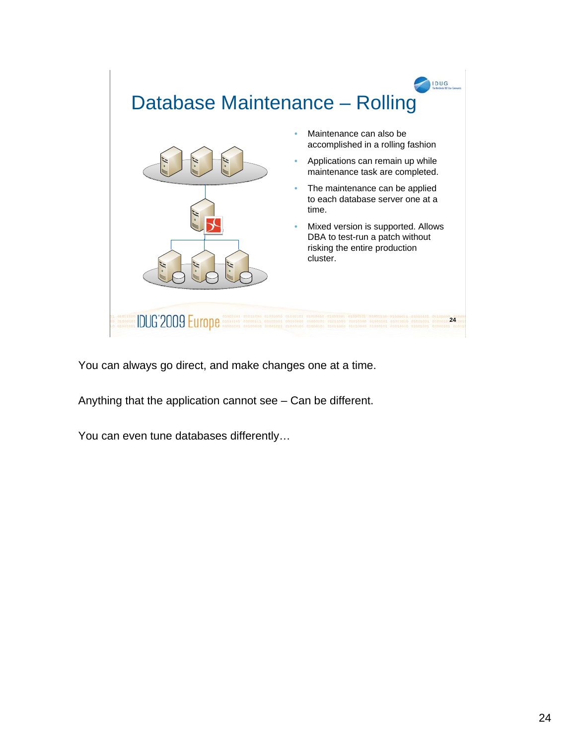![](_page_23_Picture_0.jpeg)

Anything that the application cannot see – Can be different.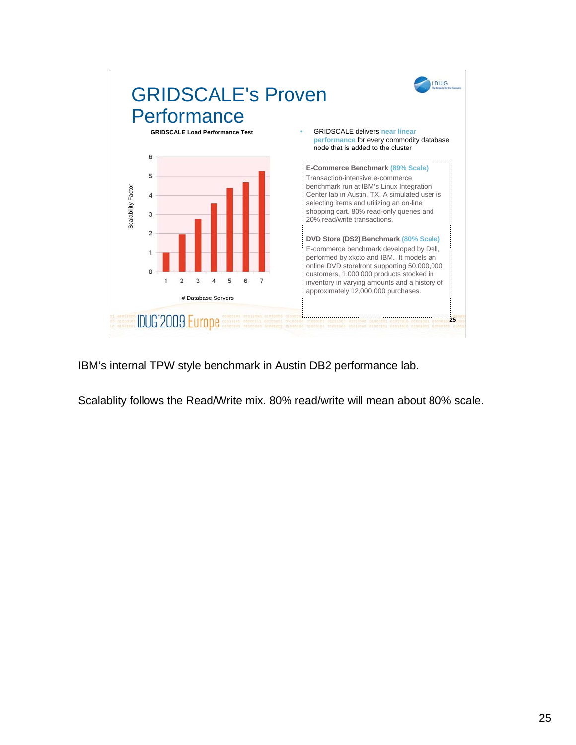![](_page_24_Figure_0.jpeg)

IBM's internal TPW style benchmark in Austin DB2 performance lab.

Scalablity follows the Read/Write mix. 80% read/write will mean about 80% scale.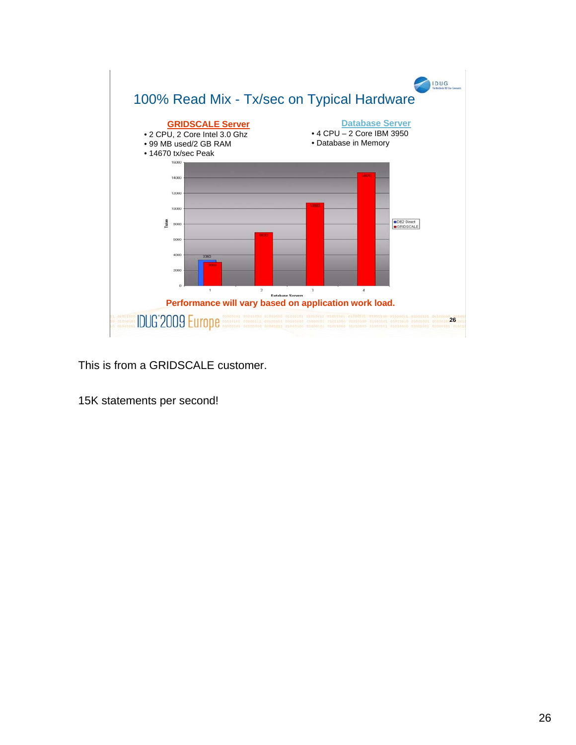![](_page_25_Figure_0.jpeg)

This is from a GRIDSCALE customer.

15K statements per second!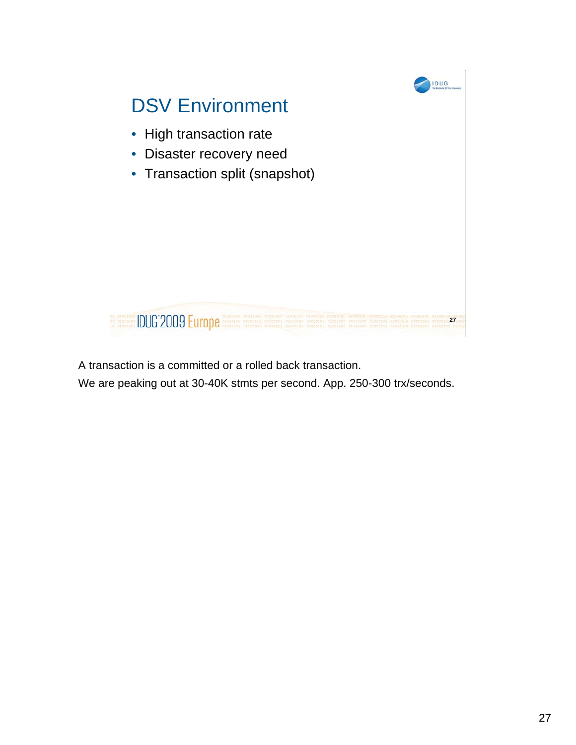![](_page_26_Figure_0.jpeg)

A transaction is a committed or a rolled back transaction.

We are peaking out at 30-40K stmts per second. App. 250-300 trx/seconds.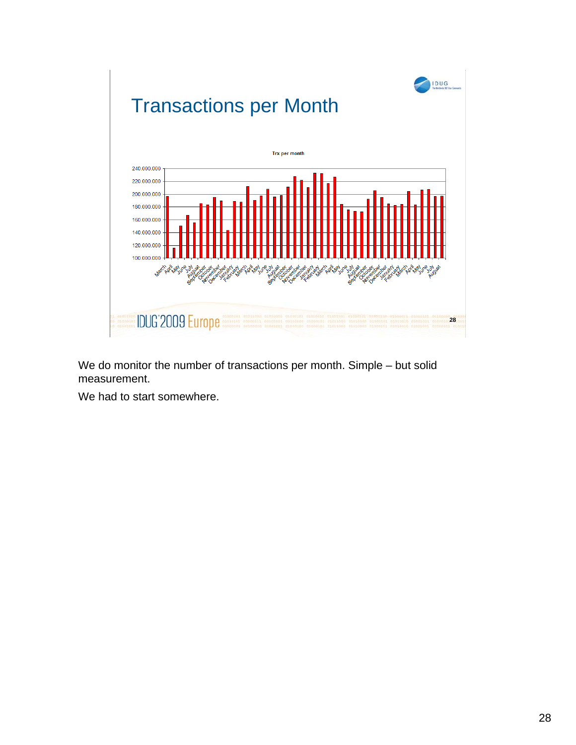![](_page_27_Figure_0.jpeg)

We do monitor the number of transactions per month. Simple – but solid measurement.

We had to start somewhere.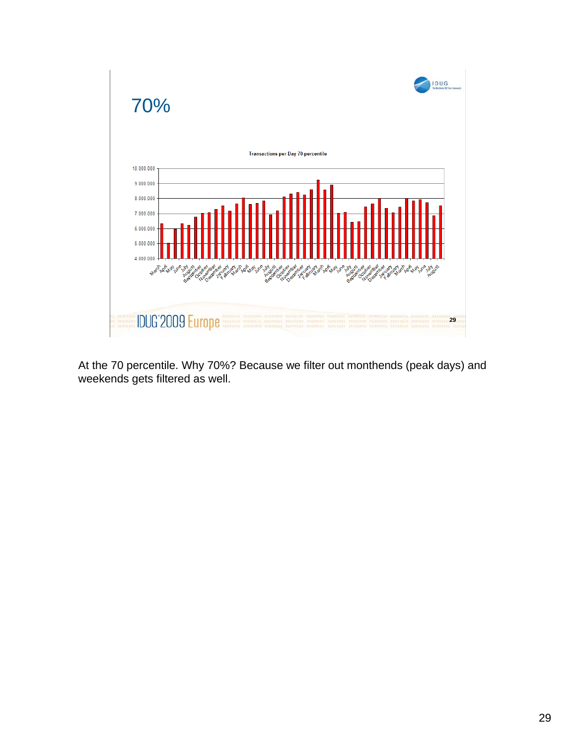![](_page_28_Figure_0.jpeg)

At the 70 percentile. Why 70%? Because we filter out monthends (peak days) and weekends gets filtered as well.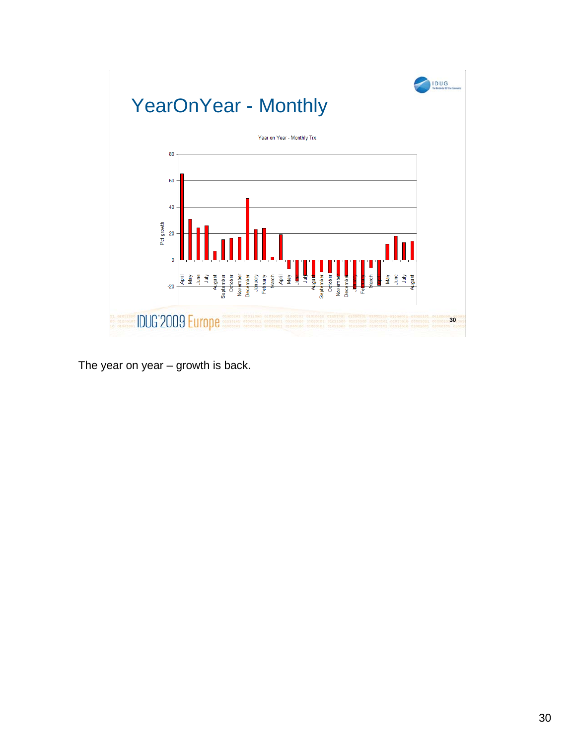![](_page_29_Figure_0.jpeg)

The year on year – growth is back.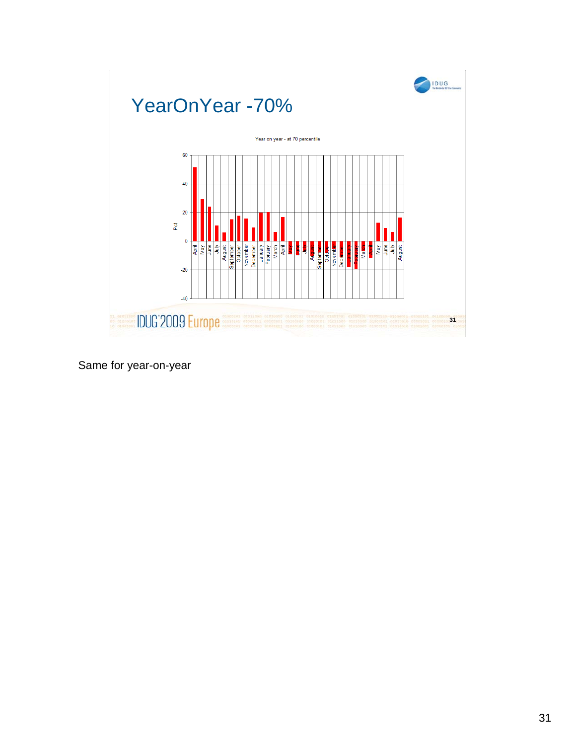![](_page_30_Figure_0.jpeg)

Same for year-on-year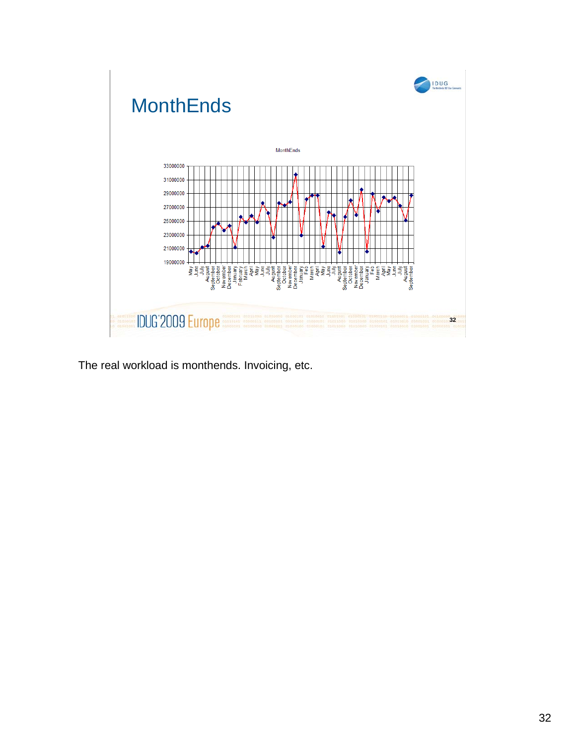![](_page_31_Figure_0.jpeg)

The real workload is monthends. Invoicing, etc.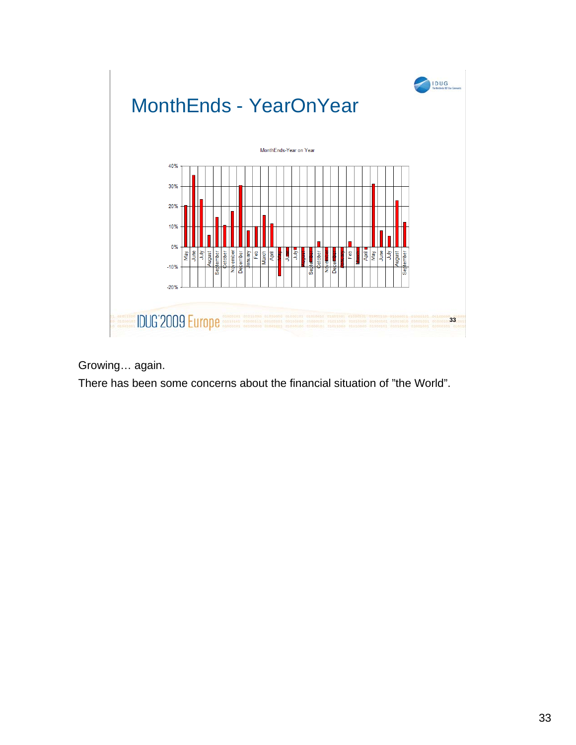![](_page_32_Figure_0.jpeg)

Growing… again.

There has been some concerns about the financial situation of "the World".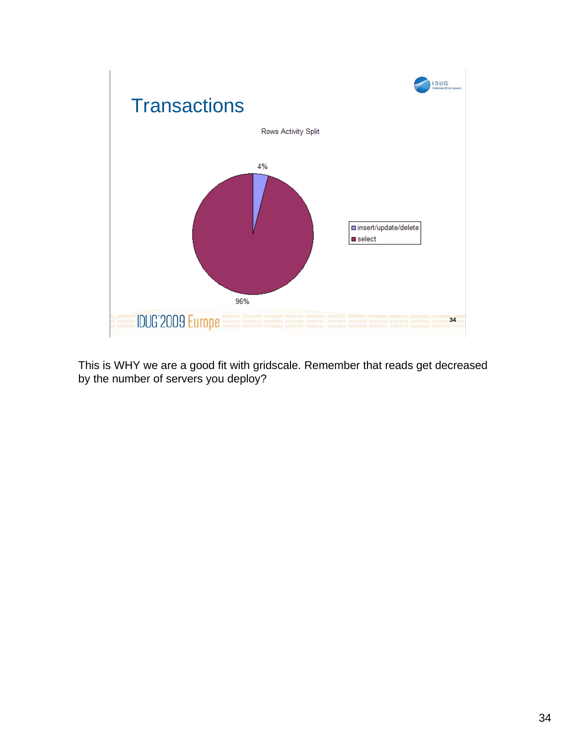![](_page_33_Figure_0.jpeg)

This is WHY we are a good fit with gridscale. Remember that reads get decreased by the number of servers you deploy?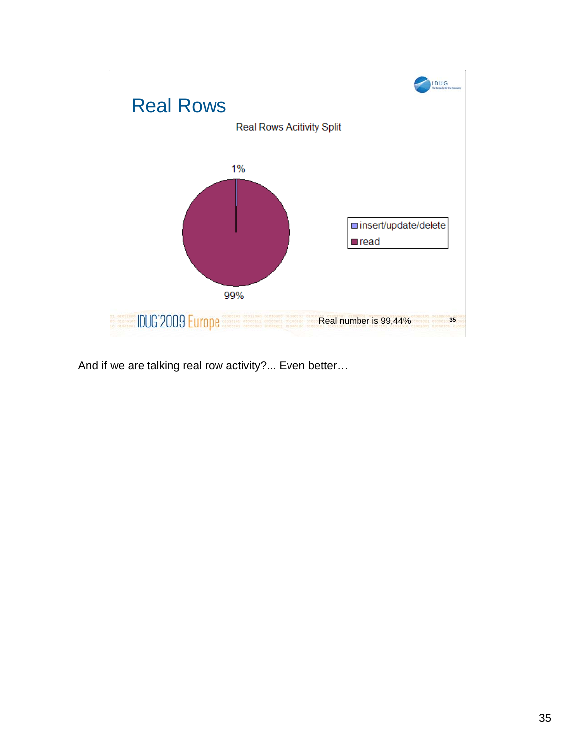![](_page_34_Figure_0.jpeg)

And if we are talking real row activity?... Even better…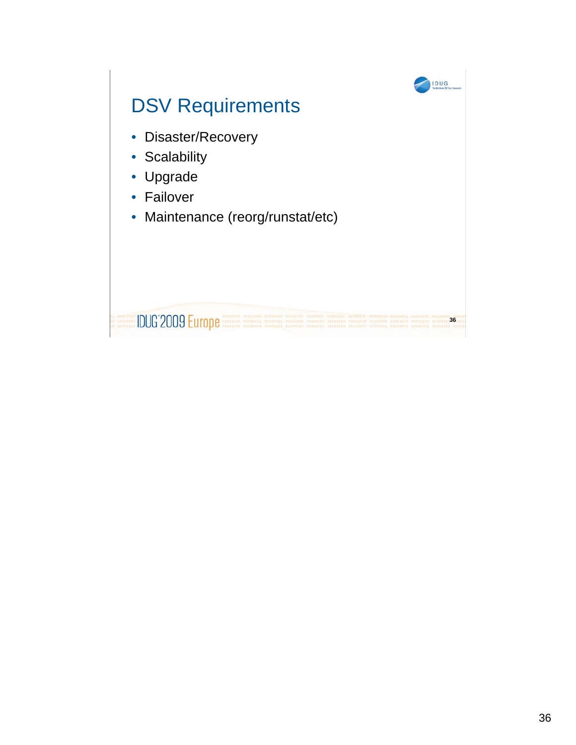![](_page_35_Figure_0.jpeg)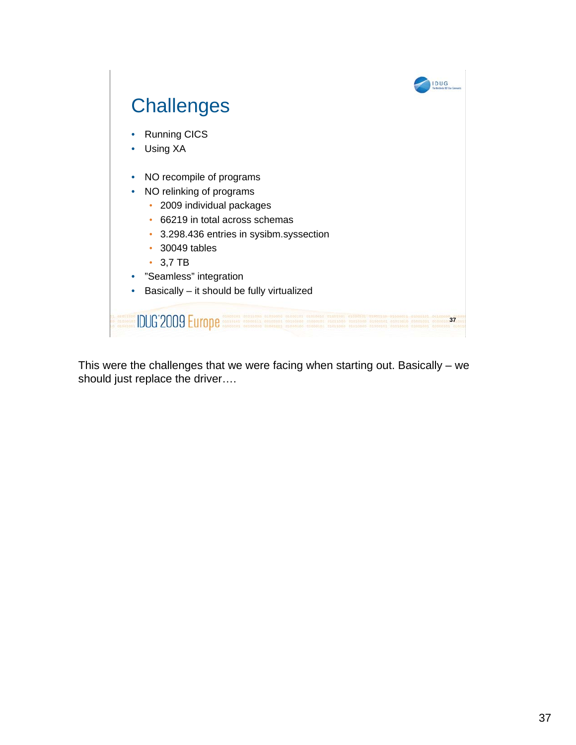![](_page_36_Figure_0.jpeg)

This were the challenges that we were facing when starting out. Basically – we should just replace the driver….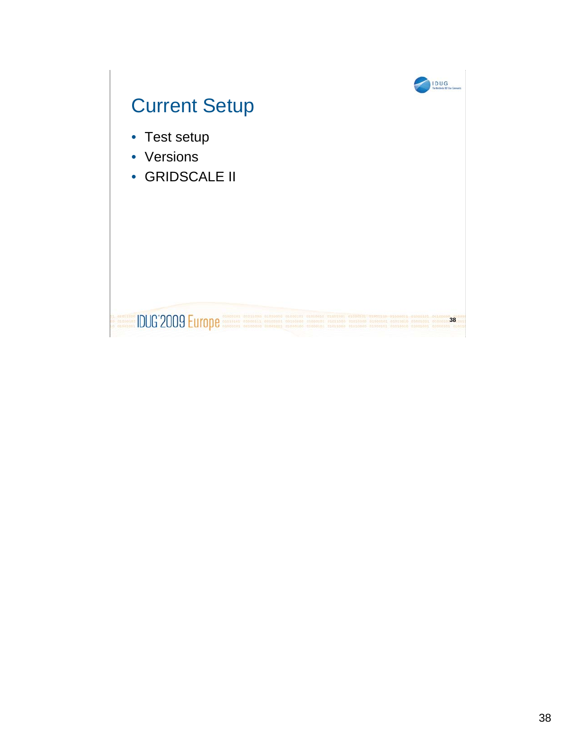![](_page_37_Figure_0.jpeg)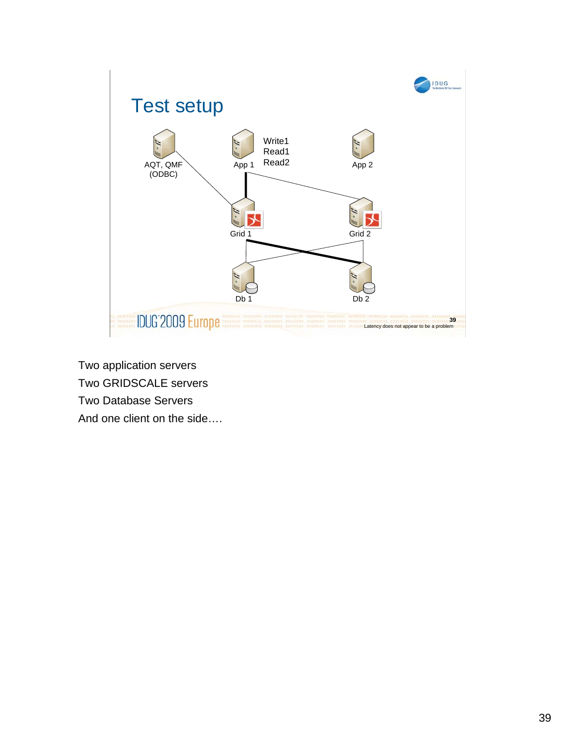![](_page_38_Figure_0.jpeg)

Two application servers Two GRIDSCALE servers Two Database Servers And one client on the side….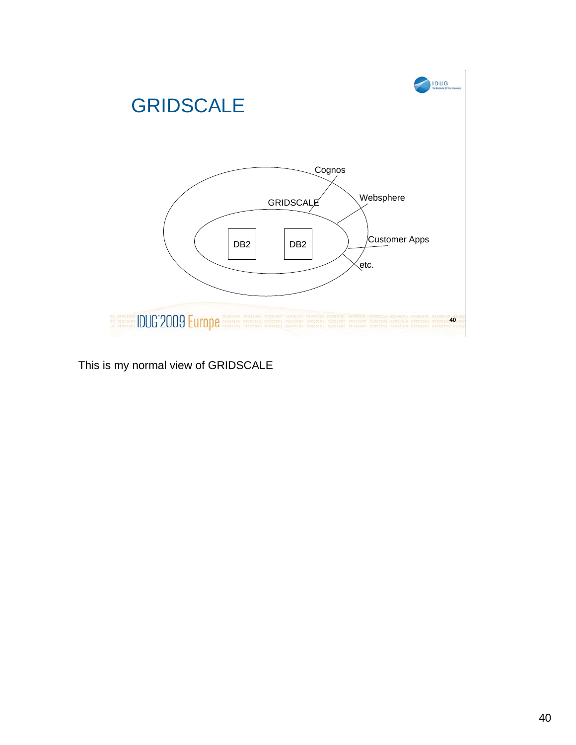![](_page_39_Figure_0.jpeg)

This is my normal view of GRIDSCALE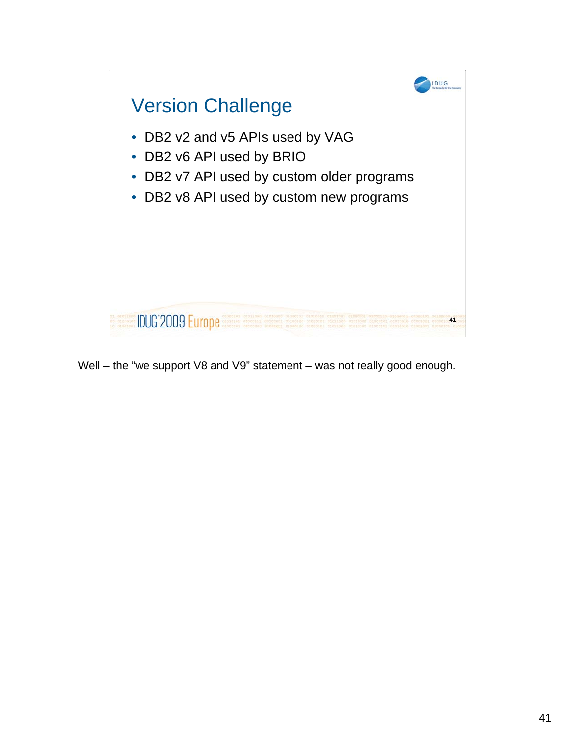![](_page_40_Picture_0.jpeg)

Well – the "we support V8 and V9" statement – was not really good enough.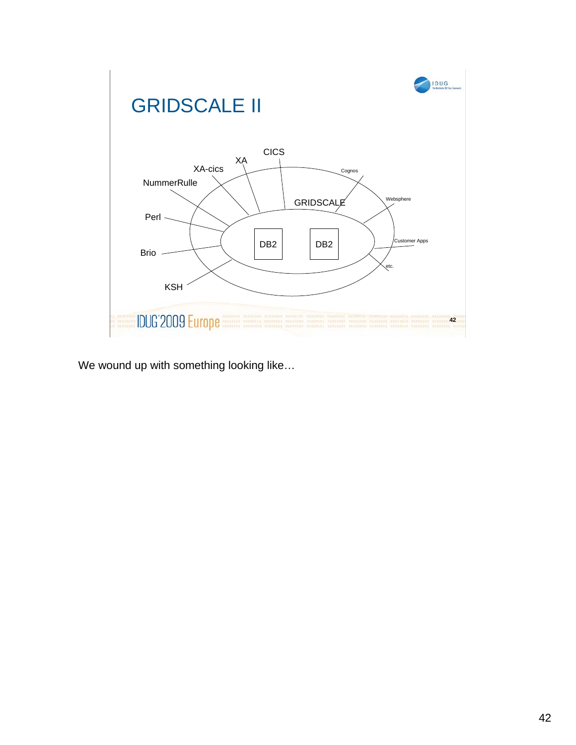![](_page_41_Figure_0.jpeg)

We wound up with something looking like…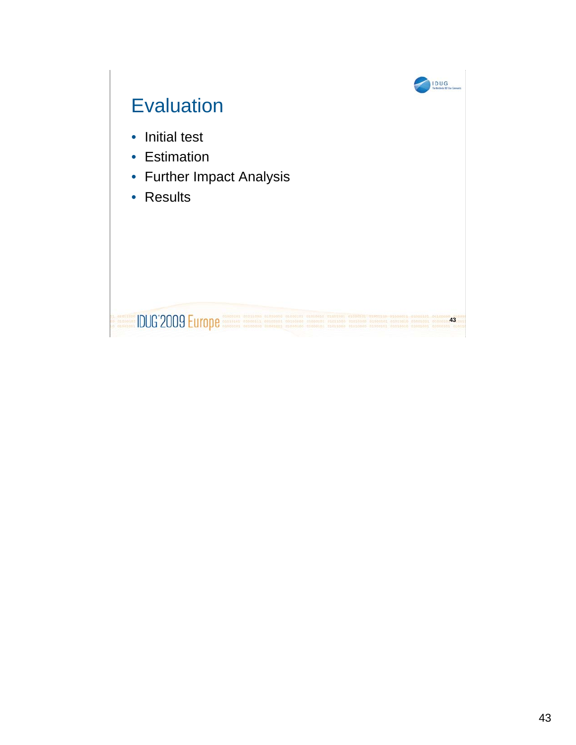![](_page_42_Figure_0.jpeg)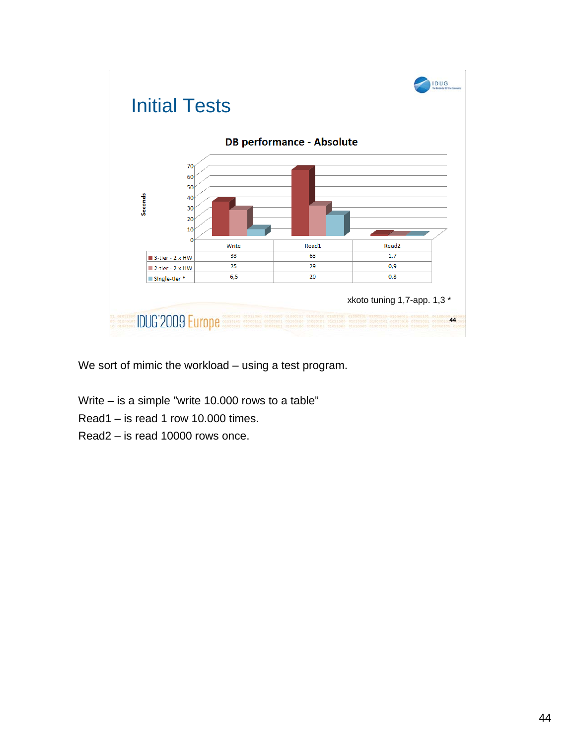![](_page_43_Figure_0.jpeg)

We sort of mimic the workload – using a test program.

- Write is a simple "write 10.000 rows to a table"
- Read1 is read 1 row 10.000 times.
- Read2 is read 10000 rows once.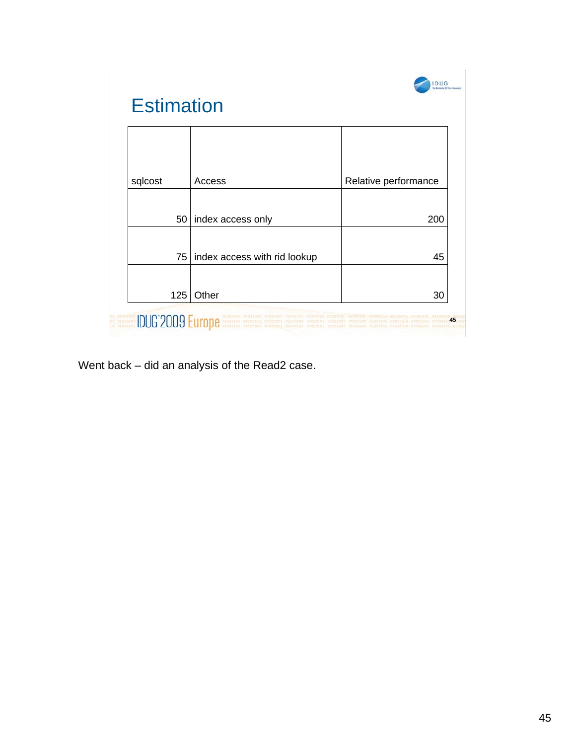| <b>Estimation</b> |                                                                                                                                                                                                                                           |                      |
|-------------------|-------------------------------------------------------------------------------------------------------------------------------------------------------------------------------------------------------------------------------------------|----------------------|
|                   |                                                                                                                                                                                                                                           |                      |
| sqlcost           | Access                                                                                                                                                                                                                                    | Relative performance |
|                   | 50   index access only                                                                                                                                                                                                                    | 200                  |
|                   | 75   index access with rid lookup                                                                                                                                                                                                         | 45                   |
| 125               | Other                                                                                                                                                                                                                                     | 30                   |
|                   | <b>COUNTY AND RESERVE DESCRIPTION OF DESCRIPTION OF STATES OF PROPERTY AND CONSUMER</b><br>CONSUMING THE COUNTY OF DESCRIPTION CONSUMING TRANSPORTED TRANSPORTED PROPERTY OF DECISION OF DUCKS AND CONSUM<br>CONSUMING THE CONSUMING CONS | 45                   |

Went back – did an analysis of the Read2 case.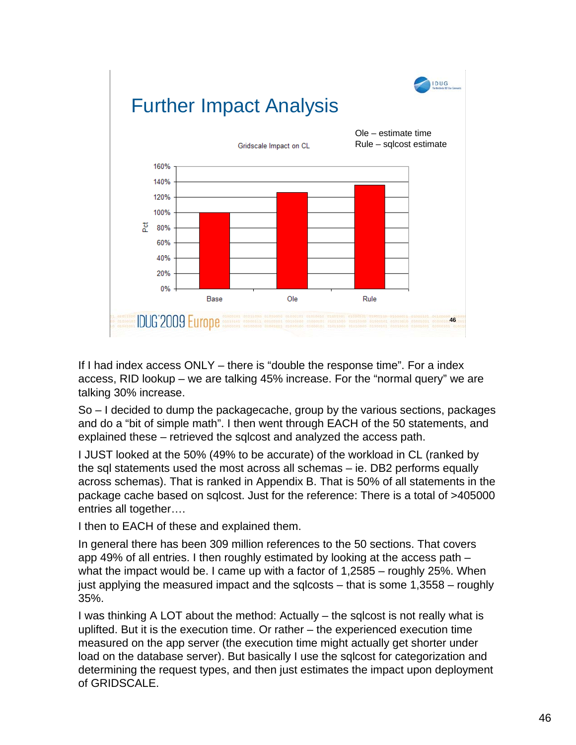![](_page_45_Figure_0.jpeg)

If I had index access ONLY – there is "double the response time". For a index access, RID lookup – we are talking 45% increase. For the "normal query" we are talking 30% increase.

So – I decided to dump the packagecache, group by the various sections, packages and do a "bit of simple math". I then went through EACH of the 50 statements, and explained these – retrieved the sqlcost and analyzed the access path.

I JUST looked at the 50% (49% to be accurate) of the workload in CL (ranked by the sql statements used the most across all schemas – ie. DB2 performs equally across schemas). That is ranked in Appendix B. That is 50% of all statements in the package cache based on sqlcost. Just for the reference: There is a total of >405000 entries all together….

I then to EACH of these and explained them.

In general there has been 309 million references to the 50 sections. That covers app 49% of all entries. I then roughly estimated by looking at the access path – what the impact would be. I came up with a factor of 1,2585 – roughly 25%. When just applying the measured impact and the sqlcosts – that is some 1,3558 – roughly 35%.

I was thinking A LOT about the method: Actually – the sqlcost is not really what is uplifted. But it is the execution time. Or rather – the experienced execution time measured on the app server (the execution time might actually get shorter under load on the database server). But basically I use the sqlcost for categorization and determining the request types, and then just estimates the impact upon deployment of GRIDSCALE.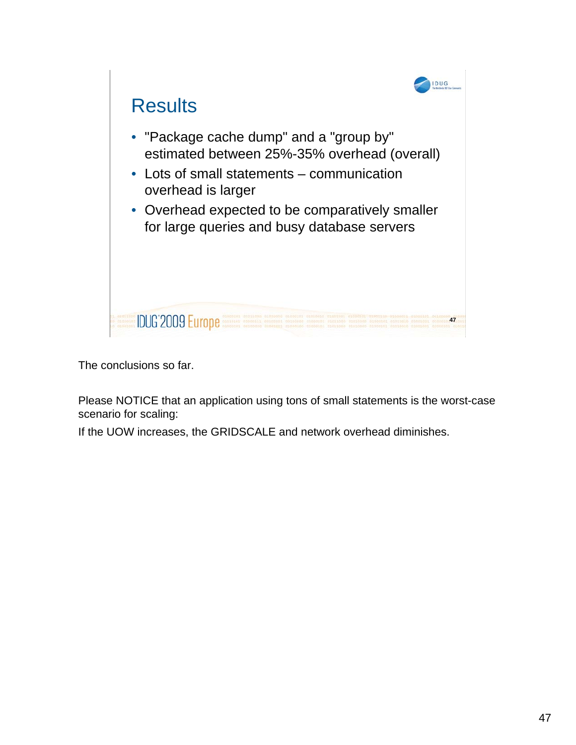![](_page_46_Picture_0.jpeg)

The conclusions so far.

Please NOTICE that an application using tons of small statements is the worst-case scenario for scaling:

If the UOW increases, the GRIDSCALE and network overhead diminishes.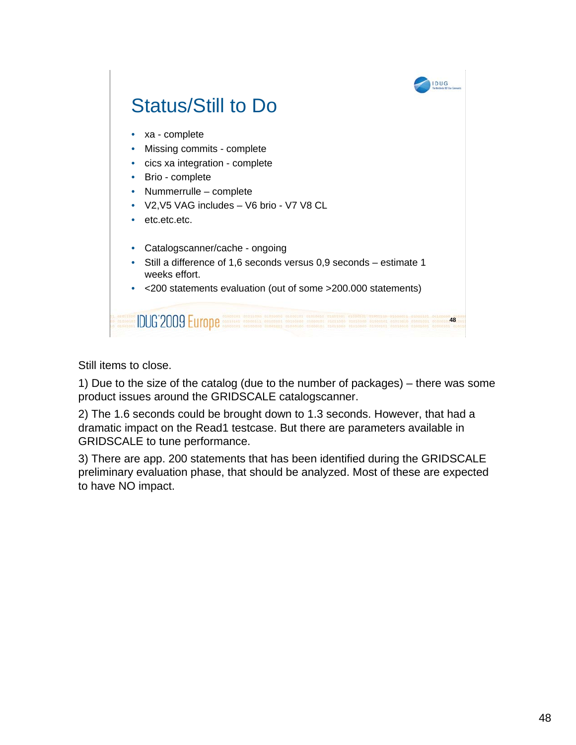![](_page_47_Figure_0.jpeg)

Still items to close.

1) Due to the size of the catalog (due to the number of packages) – there was some product issues around the GRIDSCALE catalogscanner.

2) The 1.6 seconds could be brought down to 1.3 seconds. However, that had a dramatic impact on the Read1 testcase. But there are parameters available in GRIDSCALE to tune performance.

3) There are app. 200 statements that has been identified during the GRIDSCALE preliminary evaluation phase, that should be analyzed. Most of these are expected to have NO impact.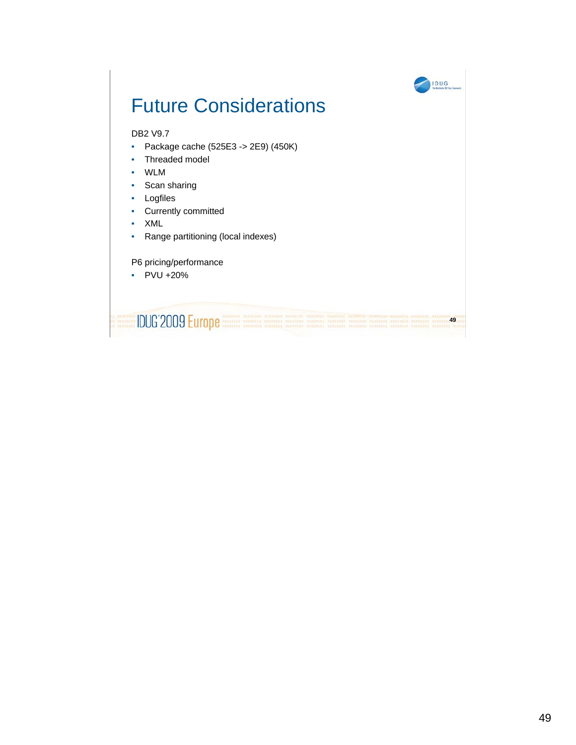![](_page_48_Figure_0.jpeg)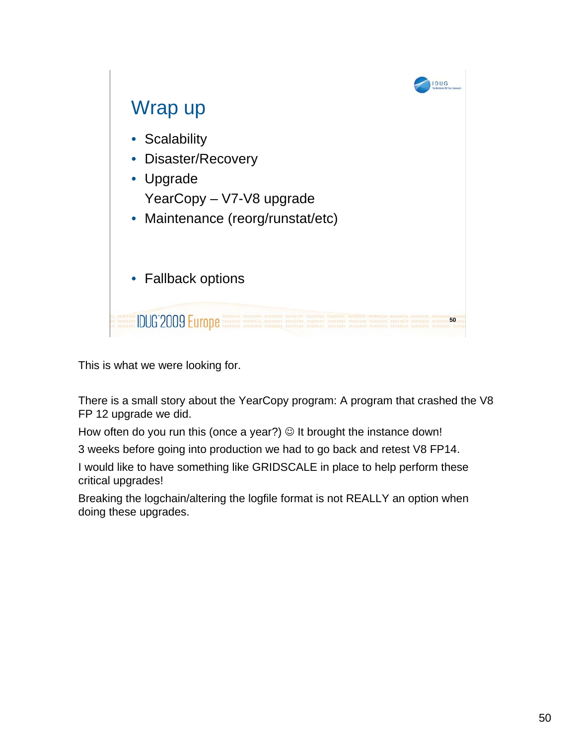![](_page_49_Picture_0.jpeg)

This is what we were looking for.

There is a small story about the YearCopy program: A program that crashed the V8 FP 12 upgrade we did.

How often do you run this (once a year?)  $\odot$  It brought the instance down!

3 weeks before going into production we had to go back and retest V8 FP14.

I would like to have something like GRIDSCALE in place to help perform these critical upgrades!

Breaking the logchain/altering the logfile format is not REALLY an option when doing these upgrades.